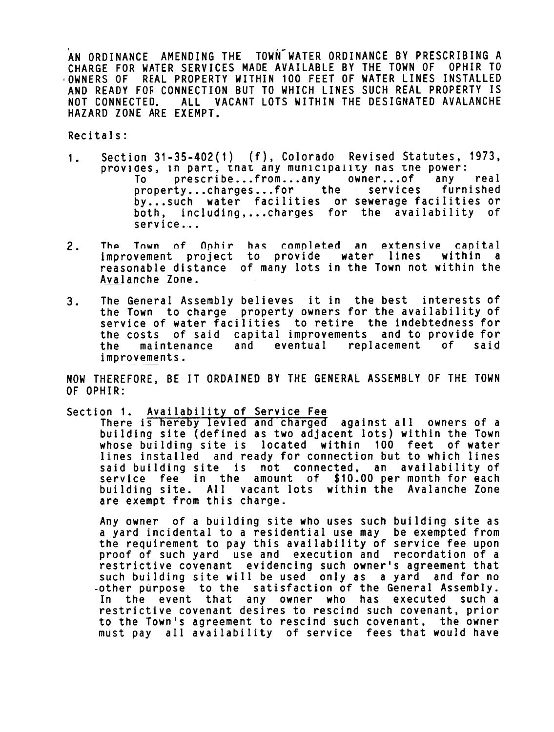AN ORDINANCE AMENDING THE TOWN WATER ORDINANCE BY PRESCRIBING A CHARGE FOR WATER SERVICES MADE AVAILABLE BY THE TOWN OF OPHIR TO OWNERS OF REAL PROPERTY WITHIN 100 FEET OF WATER LINES INSTALLED AND READY FOR CONNECTION BUT TO WHICH LINES SUCH REAL PROPERTY IS NOT CONNECTED HAZARD ZONE ARE EXEMPT. . ALL VACANT LOTS WITHIN THE DESIGNATED AVALANCHE

Recitals:

- 1. Section Section 31-35-402(1) (f). Colorado Revised Statutes, 1973. provides, in part, that any municipality has the power:<br>To prescribe...from...any owner...of any prescribe...from...any owner...of any real<br>ty...charges...for the services furnished property...charges...for the services by...such water facilities or sewerage facilities or both, including,...charges for the availability of service...
- 2. The Town of Ophir has completed an extensive capital<br>improvement project to provide water lines within a improvement project to provide water lines reasonable distance of many lots in the Town not within the Avalanche Zone.
- The General Assembly believes it in the best interests of the Town to charge property owners for the availabi service of water facilities to retire the indebtedne the costs of said capital improvements and to provide fo the maintenance and eventual replacement of improvements. 3. y of f<sub>o</sub> said

NOW THEREFORE, BE IT ORDAINED BY THE GENERAL ASSEMBLY OF THE TOWN OF OPHIR:

Section 1. Availability of Service Fee

There is hereby levied and charged against all owners of a building site (defined as two adjacent lots) within the Town whose building site is located within 100 feet of water lines installed and ready for connection but to which lines said building site is not connected, an availability of service fee in the amount of \$10.00 per month for each building site. All vacant lots within the Avalanche Zone are exempt from this charge.

Any owner of a building site who uses such building site as a yard incidental to a residential use may be exempted from the requirement to pay this availability of service fee upon proof of such yard use and execution and recordation of a restrictive covenant evidencing such owner's agreement that such building site will be used only as a yard and for no -other purpose to the satisfaction of the General Assembly. In the event that any owner who has executed such a restrictive covenant desires to rescind such covenant, prio $\epsilon$ to the Town's agreement to rescind such covenant, the owner must pay all availability of service fees that would have